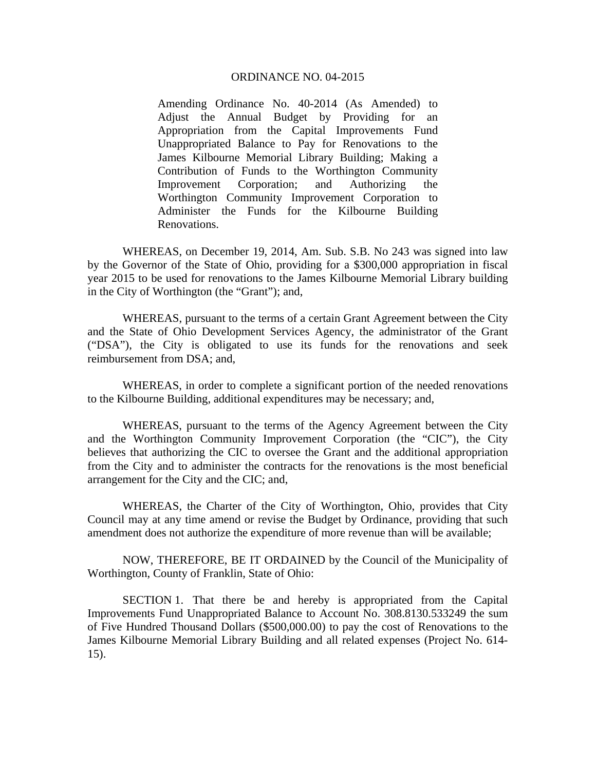## ORDINANCE NO. 04-2015

Amending Ordinance No. 40-2014 (As Amended) to Adjust the Annual Budget by Providing for an Appropriation from the Capital Improvements Fund Unappropriated Balance to Pay for Renovations to the James Kilbourne Memorial Library Building; Making a Contribution of Funds to the Worthington Community Improvement Corporation; and Authorizing the Worthington Community Improvement Corporation to Administer the Funds for the Kilbourne Building Renovations.

 WHEREAS, on December 19, 2014, Am. Sub. S.B. No 243 was signed into law by the Governor of the State of Ohio, providing for a \$300,000 appropriation in fiscal year 2015 to be used for renovations to the James Kilbourne Memorial Library building in the City of Worthington (the "Grant"); and,

 WHEREAS, pursuant to the terms of a certain Grant Agreement between the City and the State of Ohio Development Services Agency, the administrator of the Grant ("DSA"), the City is obligated to use its funds for the renovations and seek reimbursement from DSA; and,

 WHEREAS, in order to complete a significant portion of the needed renovations to the Kilbourne Building, additional expenditures may be necessary; and,

 WHEREAS, pursuant to the terms of the Agency Agreement between the City and the Worthington Community Improvement Corporation (the "CIC"), the City believes that authorizing the CIC to oversee the Grant and the additional appropriation from the City and to administer the contracts for the renovations is the most beneficial arrangement for the City and the CIC; and,

 WHEREAS, the Charter of the City of Worthington, Ohio, provides that City Council may at any time amend or revise the Budget by Ordinance, providing that such amendment does not authorize the expenditure of more revenue than will be available;

 NOW, THEREFORE, BE IT ORDAINED by the Council of the Municipality of Worthington, County of Franklin, State of Ohio:

 SECTION 1. That there be and hereby is appropriated from the Capital Improvements Fund Unappropriated Balance to Account No. 308.8130.533249 the sum of Five Hundred Thousand Dollars (\$500,000.00) to pay the cost of Renovations to the James Kilbourne Memorial Library Building and all related expenses (Project No. 614- 15).